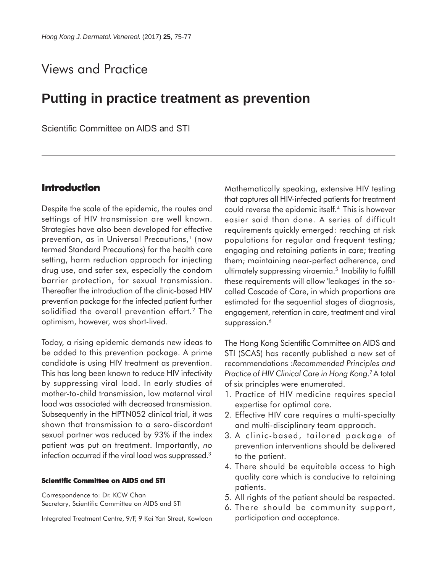# Views and Practice

## **Putting in practice treatment as prevention**

Scientific Committee on AIDS and STI

## **Introduction**

Despite the scale of the epidemic, the routes and settings of HIV transmission are well known. Strategies have also been developed for effective prevention, as in Universal Precautions,<sup>1</sup> (now termed Standard Precautions) for the health care setting, harm reduction approach for injecting drug use, and safer sex, especially the condom barrier protection, for sexual transmission. Thereafter the introduction of the clinic-based HIV prevention package for the infected patient further solidified the overall prevention effort.<sup>2</sup> The optimism, however, was short-lived.

Today, a rising epidemic demands new ideas to be added to this prevention package. A prime candidate is using HIV treatment as prevention. This has long been known to reduce HIV infectivity by suppressing viral load. In early studies of mother-to-child transmission, low maternal viral load was associated with decreased transmission. Subsequently in the HPTN052 clinical trial, it was shown that transmission to a sero-discordant sexual partner was reduced by 93% if the index patient was put on treatment. Importantly, *no* infection occurred if the viral load was suppressed.3

#### **Scientific Committee on AIDS and STI**

Correspondence to: Dr. KCW Chan Secretary, Scientific Committee on AIDS and STI

Integrated Treatment Centre, 9/F, 9 Kai Yan Street, Kowloon

Mathematically speaking, extensive HIV testing that captures all HIV-infected patients for treatment could reverse the epidemic itself.4 This is however easier said than done. A series of difficult requirements quickly emerged: reaching at risk populations for regular and frequent testing; engaging and retaining patients in care; treating them; maintaining near-perfect adherence, and ultimately suppressing viraemia.5 Inability to fulfill these requirements will allow 'leakages' in the socalled Cascade of Care, in which proportions are estimated for the sequential stages of diagnosis, engagement, retention in care, treatment and viral suppression.<sup>6</sup>

The Hong Kong Scientific Committee on AIDS and STI (SCAS) has recently published a new set of recommendations :*Recommended Principles and Practice of HIV Clinical Care in Hong Kong*. 7A total of six principles were enumerated.

- 1. Practice of HIV medicine requires special expertise for optimal care.
- 2. Effective HIV care requires a multi-specialty and multi-disciplinary team approach.
- 3. A clinic-based, tailored package of prevention interventions should be delivered to the patient.
- 4. There should be equitable access to high quality care which is conducive to retaining patients.
- 5. All rights of the patient should be respected.
- 6. There should be community support, participation and acceptance.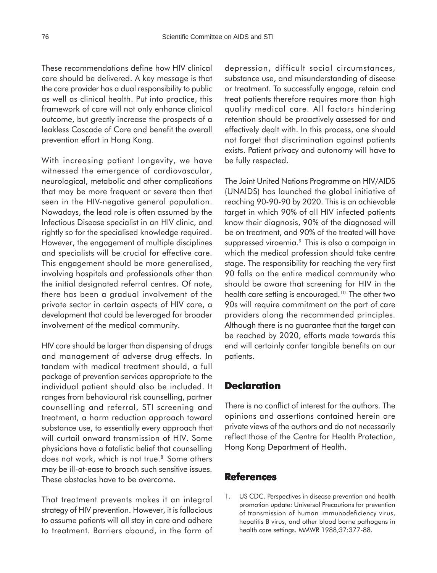These recommendations define how HIV clinical care should be delivered. A key message is that the care provider has a dual responsibility to public as well as clinical health. Put into practice, this framework of care will not only enhance clinical outcome, but greatly increase the prospects of a leakless Cascade of Care and benefit the overall prevention effort in Hong Kong.

With increasing patient longevity, we have witnessed the emergence of cardiovascular, neurological, metabolic and other complications that may be more frequent or severe than that seen in the HIV-negative general population. Nowadays, the lead role is often assumed by the Infectious Disease specialist in an HIV clinic, and rightly so for the specialised knowledge required. However, the engagement of multiple disciplines and specialists will be crucial for effective care. This engagement should be more generalised, involving hospitals and professionals other than the initial designated referral centres. Of note, there has been a gradual involvement of the private sector in certain aspects of HIV care, a development that could be leveraged for broader involvement of the medical community.

HIV care should be larger than dispensing of drugs and management of adverse drug effects. In tandem with medical treatment should, a full package of prevention services appropriate to the individual patient should also be included. It ranges from behavioural risk counselling, partner counselling and referral, STI screening and treatment, a harm reduction approach toward substance use, to essentially every approach that will curtail onward transmission of HIV. Some physicians have a fatalistic belief that counselling does not work, which is not true.<sup>8</sup> Some others may be ill-at-ease to broach such sensitive issues. These obstacles have to be overcome.

That treatment prevents makes it an integral strategy of HIV prevention. However, it is fallacious to assume patients will all stay in care and adhere to treatment. Barriers abound, in the form of depression, difficult social circumstances, substance use, and misunderstanding of disease or treatment. To successfully engage, retain and treat patients therefore requires more than high quality medical care. All factors hindering retention should be proactively assessed for and effectively dealt with. In this process, one should not forget that discrimination against patients exists. Patient privacy and autonomy will have to be fully respected.

The Joint United Nations Programme on HIV/AIDS (UNAIDS) has launched the global initiative of reaching 90-90-90 by 2020. This is an achievable target in which 90% of all HIV infected patients know their diagnosis, 90% of the diagnosed will be on treatment, and 90% of the treated will have suppressed viraemia.<sup>9</sup> This is also a campaign in which the medical profession should take centre stage. The responsibility for reaching the very first 90 falls on the entire medical community who should be aware that screening for HIV in the health care setting is encouraged.<sup>10</sup> The other two 90s will require commitment on the part of care providers along the recommended principles. Although there is no guarantee that the target can be reached by 2020, efforts made towards this end will certainly confer tangible benefits on our patients.

### **Declaration**

There is no conflict of interest for the authors. The opinions and assertions contained herein are private views of the authors and do not necessarily reflect those of the Centre for Health Protection, Hong Kong Department of Health.

### **References**

1. US CDC. Perspectives in disease prevention and health promotion update: Universal Precautions for prevention of transmission of human immunodeficiency virus, hepatitis B virus, and other blood borne pathogens in health care settings. MMWR 1988;37:377-88.